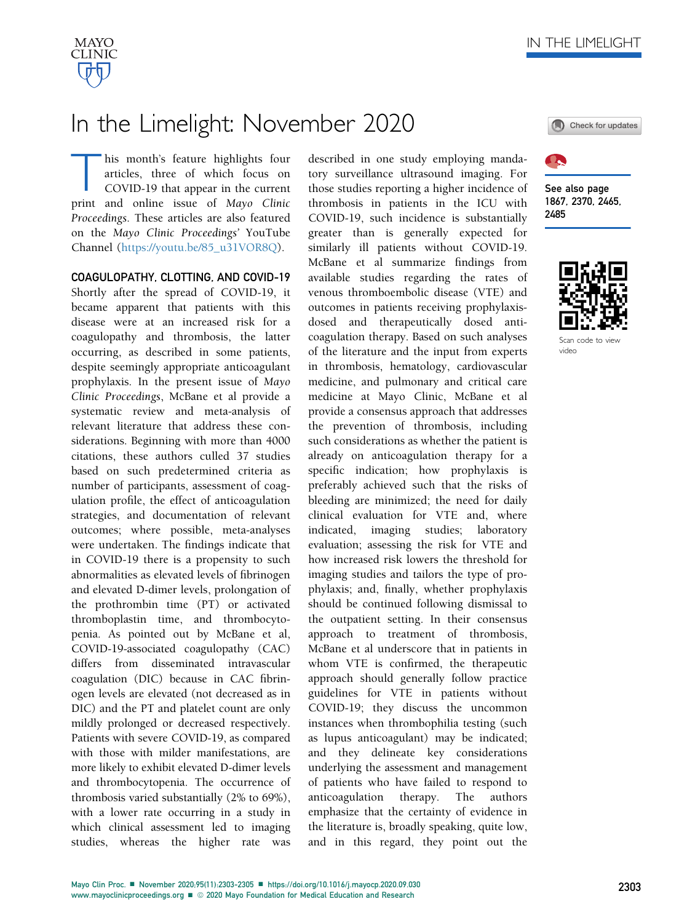

## In the Limelight: November 2020

his month's feature highlights four articles, three of which focus on COVID-19 that appear in the current print and online issue of Mayo Clinic Proceedings. These articles are also featured on the Mayo Clinic Proceedings' YouTube Channel ([https://youtu.be/85\\_u31VOR8Q](https://youtu.be/85_u31VOR8Q)).

COAGULOPATHY, CLOTTING, AND COVID-19 Shortly after the spread of COVID-19, it became apparent that patients with this disease were at an increased risk for a coagulopathy and thrombosis, the latter occurring, as described in some patients, despite seemingly appropriate anticoagulant prophylaxis. In the present issue of Mayo Clinic Proceedings, McBane et al provide a systematic review and meta-analysis of relevant literature that address these considerations. Beginning with more than 4000 citations, these authors culled 37 studies based on such predetermined criteria as number of participants, assessment of coagulation profile, the effect of anticoagulation strategies, and documentation of relevant outcomes; where possible, meta-analyses were undertaken. The findings indicate that in COVID-19 there is a propensity to such abnormalities as elevated levels of fibrinogen and elevated D-dimer levels, prolongation of the prothrombin time (PT) or activated thromboplastin time, and thrombocytopenia. As pointed out by McBane et al, COVID-19-associated coagulopathy (CAC) differs from disseminated intravascular coagulation (DIC) because in CAC fibrinogen levels are elevated (not decreased as in DIC) and the PT and platelet count are only mildly prolonged or decreased respectively. Patients with severe COVID-19, as compared with those with milder manifestations, are more likely to exhibit elevated D-dimer levels and thrombocytopenia. The occurrence of thrombosis varied substantially (2% to 69%), with a lower rate occurring in a study in which clinical assessment led to imaging studies, whereas the higher rate was

described in one study employing mandatory surveillance ultrasound imaging. For those studies reporting a higher incidence of thrombosis in patients in the ICU with COVID-19, such incidence is substantially greater than is generally expected for similarly ill patients without COVID-19. McBane et al summarize findings from available studies regarding the rates of venous thromboembolic disease (VTE) and outcomes in patients receiving prophylaxisdosed and therapeutically dosed anticoagulation therapy. Based on such analyses of the literature and the input from experts in thrombosis, hematology, cardiovascular medicine, and pulmonary and critical care medicine at Mayo Clinic, McBane et al provide a consensus approach that addresses the prevention of thrombosis, including such considerations as whether the patient is already on anticoagulation therapy for a specific indication; how prophylaxis is preferably achieved such that the risks of bleeding are minimized; the need for daily clinical evaluation for VTE and, where indicated, imaging studies; laboratory evaluation; assessing the risk for VTE and how increased risk lowers the threshold for imaging studies and tailors the type of prophylaxis; and, finally, whether prophylaxis should be continued following dismissal to the outpatient setting. In their consensus approach to treatment of thrombosis, McBane et al underscore that in patients in whom VTE is confirmed, the therapeutic approach should generally follow practice guidelines for VTE in patients without COVID-19; they discuss the uncommon instances when thrombophilia testing (such as lupus anticoagulant) may be indicated; and they delineate key considerations underlying the assessment and management of patients who have failed to respond to anticoagulation therapy. The authors emphasize that the certainty of evidence in the literature is, broadly speaking, quite low, and in this regard, they point out the





See also page 1867, 2370, 2465, 2485



video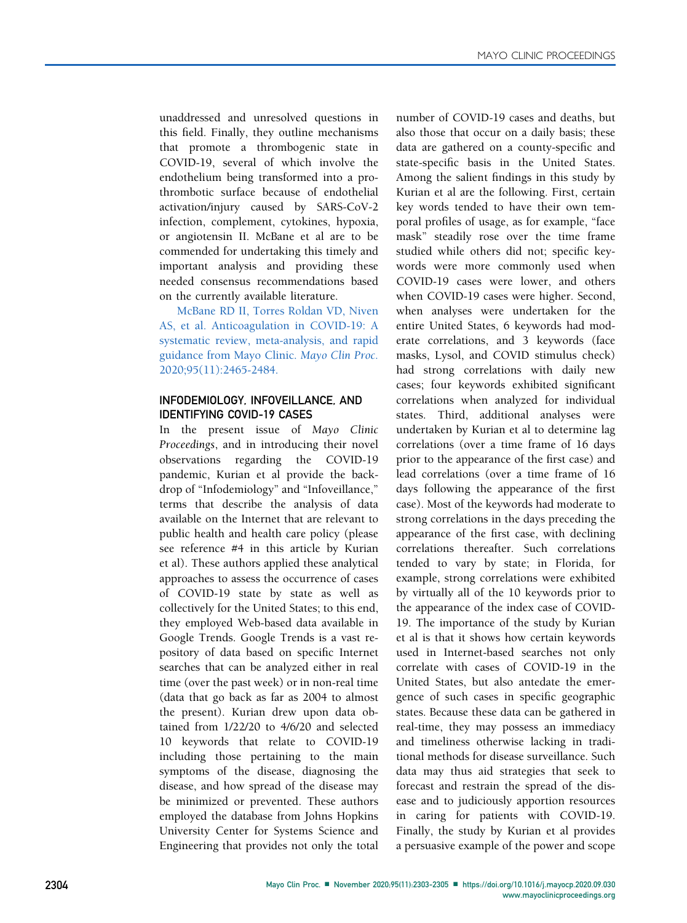unaddressed and unresolved questions in this field. Finally, they outline mechanisms that promote a thrombogenic state in COVID-19, several of which involve the endothelium being transformed into a prothrombotic surface because of endothelial activation/injury caused by SARS-CoV-2 infection, complement, cytokines, hypoxia, or angiotensin II. McBane et al are to be commended for undertaking this timely and important analysis and providing these needed consensus recommendations based on the currently available literature.

McBane RD II, Torres Roldan VD, Niven AS, et al. Anticoagulation in COVID-19: A systematic review, meta-analysis, and rapid guidance from Mayo Clinic. Mayo Clin Proc. 2020;95(11):2465-2484.

## INFODEMIOLOGY, INFOVEILLANCE, AND IDENTIFYING COVID-19 CASES

In the present issue of Mayo Clinic Proceedings, and in introducing their novel observations regarding the COVID-19 pandemic, Kurian et al provide the backdrop of "Infodemiology" and "Infoveillance," terms that describe the analysis of data available on the Internet that are relevant to public health and health care policy (please see reference #4 in this article by Kurian et al). These authors applied these analytical approaches to assess the occurrence of cases of COVID-19 state by state as well as collectively for the United States; to this end, they employed Web-based data available in Google Trends. Google Trends is a vast repository of data based on specific Internet searches that can be analyzed either in real time (over the past week) or in non-real time (data that go back as far as 2004 to almost the present). Kurian drew upon data obtained from 1/22/20 to 4/6/20 and selected 10 keywords that relate to COVID-19 including those pertaining to the main symptoms of the disease, diagnosing the disease, and how spread of the disease may be minimized or prevented. These authors employed the database from Johns Hopkins University Center for Systems Science and Engineering that provides not only the total number of COVID-19 cases and deaths, but also those that occur on a daily basis; these data are gathered on a county-specific and state-specific basis in the United States. Among the salient findings in this study by Kurian et al are the following. First, certain key words tended to have their own temporal profiles of usage, as for example, "face mask" steadily rose over the time frame studied while others did not; specific keywords were more commonly used when COVID-19 cases were lower, and others when COVID-19 cases were higher. Second, when analyses were undertaken for the entire United States, 6 keywords had moderate correlations, and 3 keywords (face masks, Lysol, and COVID stimulus check) had strong correlations with daily new cases; four keywords exhibited significant correlations when analyzed for individual states. Third, additional analyses were undertaken by Kurian et al to determine lag correlations (over a time frame of 16 days prior to the appearance of the first case) and lead correlations (over a time frame of 16 days following the appearance of the first case). Most of the keywords had moderate to strong correlations in the days preceding the appearance of the first case, with declining correlations thereafter. Such correlations tended to vary by state; in Florida, for example, strong correlations were exhibited by virtually all of the 10 keywords prior to the appearance of the index case of COVID-19. The importance of the study by Kurian et al is that it shows how certain keywords used in Internet-based searches not only correlate with cases of COVID-19 in the United States, but also antedate the emergence of such cases in specific geographic states. Because these data can be gathered in real-time, they may possess an immediacy and timeliness otherwise lacking in traditional methods for disease surveillance. Such data may thus aid strategies that seek to forecast and restrain the spread of the disease and to judiciously apportion resources in caring for patients with COVID-19. Finally, the study by Kurian et al provides a persuasive example of the power and scope